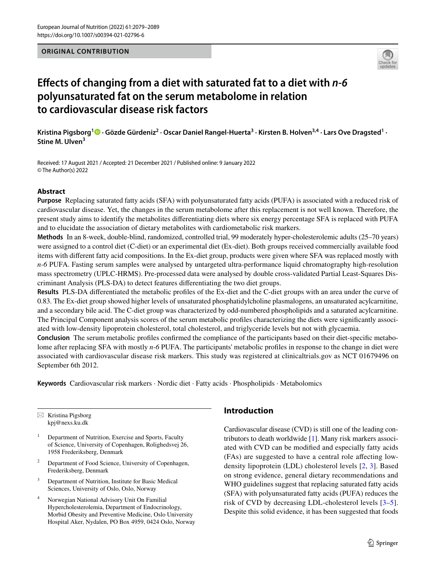### **ORIGINAL CONTRIBUTION**



# **Efects of changing from a diet with saturated fat to a diet with** *n‑6* **polyunsaturated fat on the serum metabolome in relation to cardiovascular disease risk factors**

KristinaPigsborg<sup>1</sup>® · Gözde Gürdeniz<sup>2</sup> · Oscar Daniel Rangel-Huerta<sup>3</sup> · Kirsten B. Holven<sup>3,4</sup> · Lars Ove Dragsted<sup>1</sup> · **Stine M. Ulven<sup>3</sup>**

Received: 17 August 2021 / Accepted: 21 December 2021 / Published online: 9 January 2022 © The Author(s) 2022

### **Abstract**

**Purpose** Replacing saturated fatty acids (SFA) with polyunsaturated fatty acids (PUFA) is associated with a reduced risk of cardiovascular disease. Yet, the changes in the serum metabolome after this replacement is not well known. Therefore, the present study aims to identify the metabolites diferentiating diets where six energy percentage SFA is replaced with PUFA and to elucidate the association of dietary metabolites with cardiometabolic risk markers.

**Methods** In an 8-week, double-blind, randomized, controlled trial, 99 moderately hyper-cholesterolemic adults (25–70 years) were assigned to a control diet (C-diet) or an experimental diet (Ex-diet). Both groups received commercially available food items with diferent fatty acid compositions. In the Ex-diet group, products were given where SFA was replaced mostly with *n-6* PUFA. Fasting serum samples were analysed by untargeted ultra-performance liquid chromatography high-resolution mass spectrometry (UPLC-HRMS). Pre-processed data were analysed by double cross-validated Partial Least-Squares Discriminant Analysis (PLS-DA) to detect features diferentiating the two diet groups.

**Results** PLS-DA diferentiated the metabolic profles of the Ex-diet and the C-diet groups with an area under the curve of 0.83. The Ex-diet group showed higher levels of unsaturated phosphatidylcholine plasmalogens, an unsaturated acylcarnitine, and a secondary bile acid. The C-diet group was characterized by odd-numbered phospholipids and a saturated acylcarnitine. The Principal Component analysis scores of the serum metabolic profles characterizing the diets were signifcantly associated with low-density lipoprotein cholesterol, total cholesterol, and triglyceride levels but not with glycaemia.

**Conclusion** The serum metabolic profles confrmed the compliance of the participants based on their diet-specifc metabolome after replacing SFA with mostly *n-6* PUFA. The participants' metabolic profles in response to the change in diet were associated with cardiovascular disease risk markers. This study was registered at clinicaltrials.gov as NCT 01679496 on September 6th 2012.

**Keywords** Cardiovascular risk markers · Nordic diet · Fatty acids · Phospholipids · Metabolomics

 $\boxtimes$  Kristina Pigsborg kpj@nexs.ku.dk

- Department of Nutrition, Exercise and Sports, Faculty of Science, University of Copenhagen, Rolighedsvej 26, 1958 Frederiksberg, Denmark
- <sup>2</sup> Department of Food Science, University of Copenhagen, Frederiksberg, Denmark
- <sup>3</sup> Department of Nutrition, Institute for Basic Medical Sciences, University of Oslo, Oslo, Norway
- <sup>4</sup> Norwegian National Advisory Unit On Familial Hypercholesterolemia, Department of Endocrinology, Morbid Obesity and Preventive Medicine, Oslo University Hospital Aker, Nydalen, PO Box 4959, 0424 Oslo, Norway

# **Introduction**

Cardiovascular disease (CVD) is still one of the leading contributors to death worldwide [\[1](#page-9-0)]. Many risk markers associated with CVD can be modifed and especially fatty acids (FAs) are suggested to have a central role afecting lowdensity lipoprotein (LDL) cholesterol levels [[2,](#page-9-1) [3](#page-9-2)]. Based on strong evidence, general dietary recommendations and WHO guidelines suggest that replacing saturated fatty acids (SFA) with polyunsaturated fatty acids (PUFA) reduces the risk of CVD by decreasing LDL-cholesterol levels [[3](#page-9-2)[–5](#page-9-3)]. Despite this solid evidence, it has been suggested that foods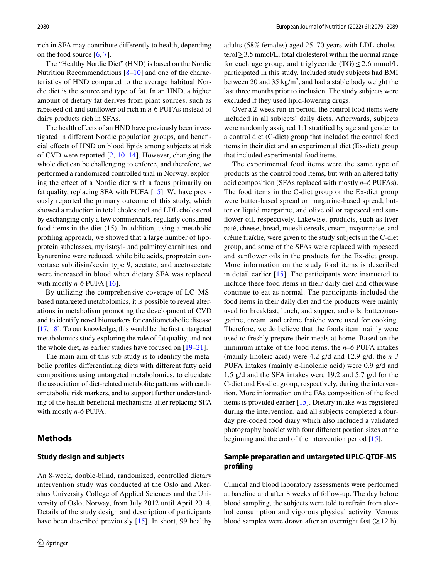rich in SFA may contribute diferently to health, depending on the food source [\[6](#page-9-4), [7](#page-9-5)].

The "Healthy Nordic Diet" (HND) is based on the Nordic Nutrition Recommendations [\[8](#page-9-6)[–10](#page-9-7)] and one of the characteristics of HND compared to the average habitual Nordic diet is the source and type of fat. In an HND, a higher amount of dietary fat derives from plant sources, such as rapeseed oil and sunfower oil rich in *n*-6 PUFAs instead of dairy products rich in SFAs.

The health effects of an HND have previously been investigated in diferent Nordic population groups, and benefcial efects of HND on blood lipids among subjects at risk of CVD were reported [[2,](#page-9-1) [10–](#page-9-7)[14\]](#page-9-8). However, changing the whole diet can be challenging to enforce, and therefore, we performed a randomized controlled trial in Norway, exploring the efect of a Nordic diet with a focus primarily on fat quality, replacing SFA with PUFA [[15\]](#page-9-9). We have previously reported the primary outcome of this study, which showed a reduction in total cholesterol and LDL cholesterol by exchanging only a few commercials, regularly consumed food items in the diet (15). In addition, using a metabolic profling approach, we showed that a large number of lipoprotein subclasses, myristoyl- and palmitoylcarnitines, and kynurenine were reduced, while bile acids, proprotein convertase subtilisin/kexin type 9, acetate, and acetoacetate were increased in blood when dietary SFA was replaced with mostly  $n-6$  PUFA  $[16]$  $[16]$ .

By utilizing the comprehensive coverage of LC–MSbased untargeted metabolomics, it is possible to reveal alterations in metabolism promoting the development of CVD and to identify novel biomarkers for cardiometabolic disease [\[17](#page-9-11), [18\]](#page-9-12). To our knowledge, this would be the frst untargeted metabolomics study exploring the role of fat quality, and not the whole diet, as earlier studies have focused on [\[19](#page-9-13)[–21](#page-9-14)].

The main aim of this sub-study is to identify the metabolic profles diferentiating diets with diferent fatty acid compositions using untargeted metabolomics, to elucidate the association of diet-related metabolite patterns with cardiometabolic risk markers, and to support further understanding of the health benefcial mechanisms after replacing SFA with mostly *n-6* PUFA.

### **Methods**

#### **Study design and subjects**

An 8-week, double-blind, randomized, controlled dietary intervention study was conducted at the Oslo and Akershus University College of Applied Sciences and the University of Oslo, Norway, from July 2012 until April 2014. Details of the study design and description of participants have been described previously [[15](#page-9-9)]. In short, 99 healthy adults (58% females) aged 25–70 years with LDL-cholesterol≥3.5 mmol/L, total cholesterol within the normal range for each age group, and triglyceride  $(TG) \leq 2.6$  mmol/L participated in this study. Included study subjects had BMI between 20 and 35  $\text{kg/m}^2$ , and had a stable body weight the last three months prior to inclusion. The study subjects were excluded if they used lipid-lowering drugs.

Over a 2-week run-in period, the control food items were included in all subjects' daily diets. Afterwards, subjects were randomly assigned 1:1 stratifed by age and gender to a control diet (C-diet) group that included the control food items in their diet and an experimental diet (Ex-diet) group that included experimental food items.

The experimental food items were the same type of products as the control food items, but with an altered fatty acid composition (SFAs replaced with mostly *n–6* PUFAs). The food items in the C-diet group or the Ex-diet group were butter-based spread or margarine-based spread, butter or liquid margarine, and olive oil or rapeseed and sunfower oil, respectively. Likewise, products, such as liver paté, cheese, bread, muesli cereals, cream, mayonnaise, and crème fraîche, were given to the study subjects in the C-diet group, and some of the SFAs were replaced with rapeseed and sunfower oils in the products for the Ex-diet group. More information on the study food items is described in detail earlier [\[15\]](#page-9-9). The participants were instructed to include these food items in their daily diet and otherwise continue to eat as normal. The participants included the food items in their daily diet and the products were mainly used for breakfast, lunch, and supper, and oils, butter/margarine, cream, and crème fraîche were used for cooking. Therefore, we do believe that the foods item mainly were used to freshly prepare their meals at home. Based on the minimum intake of the food items, the *n–6* PUFA intakes (mainly linoleic acid) were 4.2 g/d and 12.9 g/d, the *n-3* PUFA intakes (mainly  $\alpha$ -linolenic acid) were 0.9 g/d and 1.5 g/d and the SFA intakes were 19.2 and 5.7 g/d for the C-diet and Ex-diet group, respectively, during the intervention. More information on the FAs composition of the food items is provided earlier [[15\]](#page-9-9). Dietary intake was registered during the intervention, and all subjects completed a fourday pre-coded food diary which also included a validated photography booklet with four diferent portion sizes at the beginning and the end of the intervention period [[15\]](#page-9-9).

### **Sample preparation and untargeted UPLC‑QTOF‑MS profling**

Clinical and blood laboratory assessments were performed at baseline and after 8 weeks of follow-up. The day before blood sampling, the subjects were told to refrain from alcohol consumption and vigorous physical activity. Venous blood samples were drawn after an overnight fast  $(\geq 12 \text{ h})$ .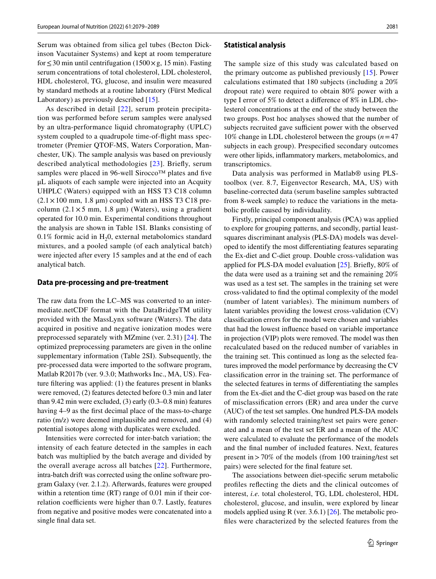Serum was obtained from silica gel tubes (Becton Dickinson Vacutainer Systems) and kept at room temperature for  $\leq$  30 min until centrifugation (1500 $\times$ g, 15 min). Fasting serum concentrations of total cholesterol, LDL cholesterol, HDL cholesterol, TG, glucose, and insulin were measured by standard methods at a routine laboratory (Fürst Medical Laboratory) as previously described [\[15](#page-9-9)].

As described in detail [[22](#page-9-15)], serum protein precipitation was performed before serum samples were analysed by an ultra-performance liquid chromatography (UPLC) system coupled to a quadrupole time-of-fight mass spectrometer (Premier QTOF-MS, Waters Corporation, Manchester, UK). The sample analysis was based on previously described analytical methodologies [\[23\]](#page-9-16). Briefy, serum samples were placed in 96-well Sirocco™ plates and five μL aliquots of each sample were injected into an Acquity UHPLC (Waters) equipped with an HSS T3 C18 column  $(2.1 \times 100 \text{ mm}, 1.8 \text{ }\mu\text{m})$  coupled with an HSS T3 C18 precolumn  $(2.1 \times 5 \text{ mm}, 1.8 \text{ }\mu\text{m})$  (Waters), using a gradient operated for 10.0 min. Experimental conditions throughout the analysis are shown in Table 1SI. Blanks consisting of  $0.1\%$  formic acid in H<sub>2</sub>0, external metabolomics standard mixtures, and a pooled sample (of each analytical batch) were injected after every 15 samples and at the end of each analytical batch.

#### **Data pre‑processing and pre‑treatment**

The raw data from the LC–MS was converted to an intermediate.netCDF format with the DataBridgeTM utility provided with the MassLynx software (Waters). The data acquired in positive and negative ionization modes were preprocessed separately with MZmine (ver. 2.31) [[24](#page-9-17)]. The optimized preprocessing parameters are given in the online supplementary information (Table 2SI). Subsequently, the pre-processed data were imported to the software program, Matlab R2017b (ver. 9.3.0; Mathworks Inc., MA, US). Feature fltering was applied: (1) the features present in blanks were removed, (2) features detected before 0.3 min and later than 9.42 min were excluded, (3) early (0.3–0.8 min) features having 4–9 as the frst decimal place of the mass-to-charge ratio (m/z) were deemed implausible and removed, and (4) potential isotopes along with duplicates were excluded.

Intensities were corrected for inter-batch variation; the intensity of each feature detected in the samples in each batch was multiplied by the batch average and divided by the overall average across all batches [\[22\]](#page-9-15). Furthermore, intra-batch drift was corrected using the online software program Galaxy (ver. 2.1.2). Afterwards, features were grouped within a retention time (RT) range of 0.01 min if their correlation coefficients were higher than 0.7. Lastly, features from negative and positive modes were concatenated into a single fnal data set.

#### **Statistical analysis**

The sample size of this study was calculated based on the primary outcome as published previously [[15\]](#page-9-9). Power calculations estimated that 180 subjects (including a 20% dropout rate) were required to obtain 80% power with a type I error of 5% to detect a diference of 8% in LDL cholesterol concentrations at the end of the study between the two groups. Post hoc analyses showed that the number of subjects recruited gave sufficient power with the observed 10% change in LDL cholesterol between the groups (*n*=47 subjects in each group). Prespecifed secondary outcomes were other lipids, infammatory markers, metabolomics, and transcriptomics.

Data analysis was performed in Matlab® using PLStoolbox (ver. 8.7, Eigenvector Research, MA, US) with baseline-corrected data (serum baseline samples subtracted from 8-week sample) to reduce the variations in the metabolic profle caused by individuality.

Firstly, principal component analysis (PCA) was applied to explore for grouping patterns, and secondly, partial leastsquares discriminant analysis (PLS-DA) models was developed to identify the most diferentiating features separating the Ex-diet and C-diet group. Double cross-validation was applied for PLS-DA model evaluation [[25\]](#page-9-18). Briefy, 80% of the data were used as a training set and the remaining 20% was used as a test set. The samples in the training set were cross-validated to fnd the optimal complexity of the model (number of latent variables). The minimum numbers of latent variables providing the lowest cross-validation (CV) classifcation errors for the model were chosen and variables that had the lowest infuence based on variable importance in projection (VIP) plots were removed. The model was then recalculated based on the reduced number of variables in the training set. This continued as long as the selected features improved the model performance by decreasing the CV classifcation error in the training set. The performance of the selected features in terms of diferentiating the samples from the Ex-diet and the C-diet group was based on the rate of misclassifcation errors (ER) and area under the curve (AUC) of the test set samples. One hundred PLS-DA models with randomly selected training/test set pairs were generated and a mean of the test set ER and a mean of the AUC were calculated to evaluate the performance of the models and the fnal number of included features. Next, features present in  $>70\%$  of the models (from 100 training/test set pairs) were selected for the fnal feature set.

The associations between diet-specifc serum metabolic profles refecting the diets and the clinical outcomes of interest, *i.e.* total cholesterol, TG, LDL cholesterol, HDL cholesterol, glucose, and insulin, were explored by linear models applied using R (ver. 3.6.1) [\[26](#page-9-19)]. The metabolic profles were characterized by the selected features from the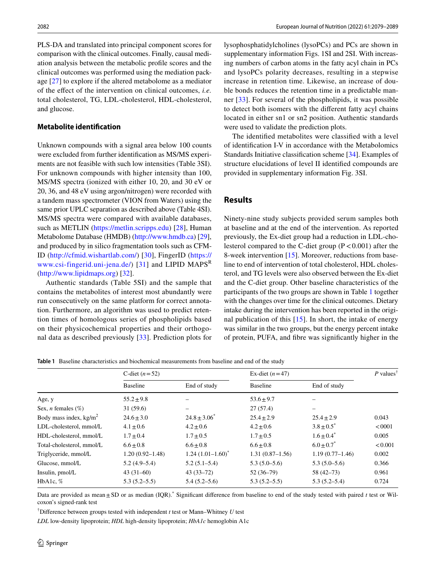PLS-DA and translated into principal component scores for comparison with the clinical outcomes. Finally, causal mediation analysis between the metabolic profle scores and the clinical outcomes was performed using the mediation package [[27\]](#page-9-20) to explore if the altered metabolome as a mediator of the efect of the intervention on clinical outcomes, *i.e.* total cholesterol, TG, LDL-cholesterol, HDL-cholesterol, and glucose.

### **Metabolite identifcation**

Unknown compounds with a signal area below 100 counts were excluded from further identifcation as MS/MS experiments are not feasible with such low intensities (Table 3SI). For unknown compounds with higher intensity than 100, MS/MS spectra (ionized with either 10, 20, and 30 eV or 20, 36, and 48 eV using argon/nitrogen) were recorded with a tandem mass spectrometer (VION from Waters) using the same prior UPLC separation as described above (Table 4SI). MS/MS spectra were compared with available databases, such as METLIN ([https://metlin.scripps.edu\)](https://metlin.scripps.edu) [[28\]](#page-9-21), Human Metabolome Database (HMDB) [\(http://www.hmdb.ca\)](http://www.hmdb.ca) [\[29](#page-10-0)], and produced by in silico fragmentation tools such as CFM-ID [\(http://cfmid.wishartlab.com/\)](http://cfmid.wishartlab.com/) [[30](#page-10-1)], FingerID [\(https://](https://www.csi-fingerid.uni-jena.de/) [www.csi-fingerid.uni-jena.de/\)](https://www.csi-fingerid.uni-jena.de/) [[31](#page-10-2)] and LIPID MAPS<sup>R</sup> [\(http://www.lipidmaps.org](http://www.lipidmaps.org)) [\[32](#page-10-3)].

Authentic standards (Table 5SI) and the sample that contains the metabolites of interest most abundantly were run consecutively on the same platform for correct annotation. Furthermore, an algorithm was used to predict retention times of homologous series of phospholipids based on their physicochemical properties and their orthogonal data as described previously [\[33](#page-10-4)]. Prediction plots for lysophosphatidylcholines (lysoPCs) and PCs are shown in supplementary information Figs. 1SI and 2SI. With increasing numbers of carbon atoms in the fatty acyl chain in PCs and lysoPCs polarity decreases, resulting in a stepwise increase in retention time. Likewise, an increase of double bonds reduces the retention time in a predictable manner [[33\]](#page-10-4). For several of the phospholipids, it was possible to detect both isomers with the diferent fatty acyl chains located in either sn1 or sn2 position. Authentic standards were used to validate the prediction plots.

The identifed metabolites were classifed with a level of identifcation I-V in accordance with the Metabolomics Standards Initiative classifcation scheme [\[34](#page-10-5)]. Examples of structure elucidations of level II identifed compounds are provided in supplementary information Fig. 3SI.

# **Results**

Ninety-nine study subjects provided serum samples both at baseline and at the end of the intervention. As reported previously, the Ex-diet group had a reduction in LDL-cholesterol compared to the C-diet group  $(P < 0.001)$  after the 8-week intervention [\[15](#page-9-9)]. Moreover, reductions from baseline to end of intervention of total cholesterol, HDL cholesterol, and TG levels were also observed between the Ex-diet and the C-diet group. Other baseline characteristics of the participants of the two groups are shown in Table [1](#page-3-0) together with the changes over time for the clinical outcomes. Dietary intake during the intervention has been reported in the original publication of this [[15](#page-9-9)]. In short, the intake of energy was similar in the two groups, but the energy percent intake of protein, PUFA, and fbre was signifcantly higher in the

<span id="page-3-0"></span>**Table 1** Baseline characteristics and biochemical measurements from baseline and end of the study

|                              | C-diet $(n=52)$     |                       | Ex-diet $(n=47)$    |                   | P values <sup>†</sup> |
|------------------------------|---------------------|-----------------------|---------------------|-------------------|-----------------------|
|                              | <b>Baseline</b>     | End of study          | Baseline            | End of study      |                       |
| Age, y                       | $55.2 \pm 9.8$      |                       | $53.6 \pm 9.7$      |                   |                       |
| Sex, <i>n</i> females $(\%)$ | 31(59.6)            | -                     | 27(57.4)            | -                 |                       |
| Body mass index, $kg/m2$     | $24.6 \pm 3.0$      | $24.8 \pm 3.06^*$     | $25.4 \pm 2.9$      | $25.4 \pm 2.9$    | 0.043                 |
| LDL-cholesterol, mmol/L      | $4.1 \pm 0.6$       | $4.2 + 0.6$           | $4.2 \pm 0.6$       | $3.8 \pm 0.5^*$   | <0001                 |
| HDL-cholesterol, mmol/L      | $1.7 + 0.4$         | $1.7 \pm 0.5$         | $1.7 \pm 0.5$       | $1.6 \pm 0.4^*$   | 0.005                 |
| Total-cholesterol, mmol/L    | $6.6 \pm 0.8$       | $6.6 \pm 0.8$         | $6.6 \pm 0.8$       | $6.0 \pm 0.7^*$   | < 0.001               |
| Triglyceride, mmol/L         | $1.20(0.92 - 1.48)$ | $1.24(1.01-1.60)^{*}$ | $1.31(0.87 - 1.56)$ | $1.19(0.77-1.46)$ | 0.002                 |
| Glucose, mmol/L              | $5.2(4.9-5.4)$      | $5.2(5.1-5.4)$        | $5.3(5.0-5.6)$      | $5.3(5.0-5.6)$    | 0.366                 |
| Insulin, pmol/L              | $43(31-60)$         | $43(33 - 72)$         | $52(36-79)$         | $58(42 - 73)$     | 0.961                 |
| HbA1c, $%$                   | $5.3(5.2 - 5.5)$    | $5.4(5.2 - 5.6)$      | $5.3(5.2 - 5.5)$    | $5.3(5.2 - 5.4)$  | 0.724                 |

Data are provided as mean ± SD or as median (IQR).<sup>\*</sup> Significant difference from baseline to end of the study tested with paired *t* test or Wilcoxon's signed-rank test

† Diference between groups tested with independent *t* test or Mann–Whitney *U* test

*LDL* low-density lipoprotein; *HDL* high-density lipoprotein; *HbA1c* hemoglobin A1c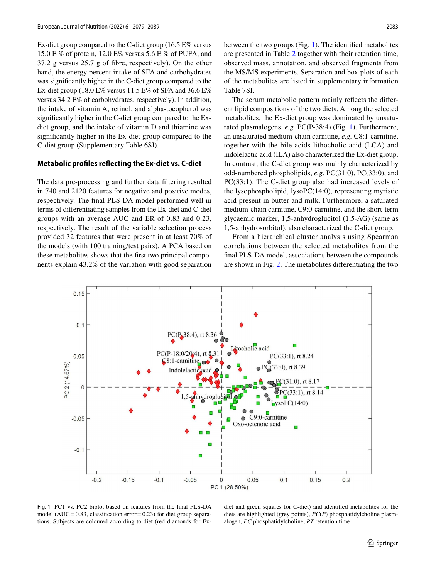Ex-diet group compared to the C-diet group (16.5 E% versus 15.0 E % of protein, 12.0 E% versus 5.6 E % of PUFA, and 37.2 g versus 25.7 g of fbre, respectively). On the other hand, the energy percent intake of SFA and carbohydrates was signifcantly higher in the C-diet group compared to the Ex-diet group (18.0 E% versus 11.5 E% of SFA and 36.6 E% versus 34.2 E% of carbohydrates, respectively). In addition, the intake of vitamin A, retinol, and alpha-tocopherol was signifcantly higher in the C-diet group compared to the Exdiet group, and the intake of vitamin D and thiamine was signifcantly higher in the Ex-diet group compared to the C-diet group (Supplementary Table 6SI).

#### **Metabolic profles refecting the Ex‑diet vs. C‑diet**

The data pre-processing and further data fltering resulted in 740 and 2120 features for negative and positive modes, respectively. The fnal PLS-DA model performed well in terms of diferentiating samples from the Ex-diet and C-diet groups with an average AUC and ER of 0.83 and 0.23, respectively. The result of the variable selection process provided 32 features that were present in at least 70% of the models (with 100 training/test pairs). A PCA based on these metabolites shows that the frst two principal components explain 43.2% of the variation with good separation between the two groups (Fig. [1\)](#page-4-0). The identifed metabolites are presented in Table [2](#page-5-0) together with their retention time, observed mass, annotation, and observed fragments from the MS/MS experiments. Separation and box plots of each of the metabolites are listed in supplementary information Table 7SI.

The serum metabolic pattern mainly refects the diferent lipid compositions of the two diets. Among the selected metabolites, the Ex-diet group was dominated by unsaturated plasmalogens, *e.g.* PC(P-38:4) (Fig. [1](#page-4-0)). Furthermore, an unsaturated medium-chain carnitine, *e.g.* C8:1-carnitine, together with the bile acids lithocholic acid (LCA) and indolelactic acid (ILA) also characterized the Ex-diet group. In contrast, the C-diet group was mainly characterized by odd-numbered phospholipids, *e.g.* PC(31:0), PC(33:0), and PC(33:1). The C-diet group also had increased levels of the lysophospholipid, lysoPC(14:0), representing myristic acid present in butter and milk. Furthermore, a saturated medium-chain carnitine, C9:0-carnitine, and the short-term glycaemic marker, 1,5-anhydroglucitol (1,5-AG) (same as 1,5-anhydrosorbitol), also characterized the C-diet group.

From a hierarchical cluster analysis using Spearman correlations between the selected metabolites from the fnal PLS-DA model, associations between the compounds are shown in Fig. [2.](#page-6-0) The metabolites diferentiating the two



<span id="page-4-0"></span>**Fig. 1** PC1 vs. PC2 biplot based on features from the fnal PLS-DA model (AUC=0.83, classification error=0.23) for diet group separations. Subjects are coloured according to diet (red diamonds for Ex-

diet and green squares for C-diet) and identifed metabolites for the diets are highlighted (grey points), *PC*(*P*) phosphatidylcholine plasmalogen, *PC* phosphatidylcholine, *RT* retention time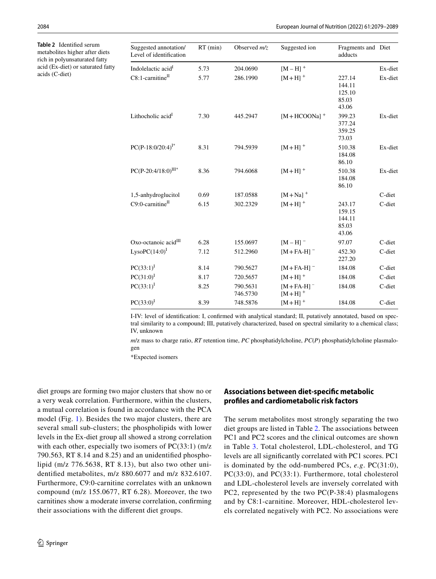<span id="page-5-0"></span>**Table 2** Identifed serum metabolites higher after diets rich in polyunsaturated fatty acid (Ex-diet) or saturated fatty acids (C-diet)

| Suggested annotation/<br>Level of identification | $RT$ (min) | Observed $m/z$       | Suggested ion                        | Fragments and Diet<br>adducts                |         |
|--------------------------------------------------|------------|----------------------|--------------------------------------|----------------------------------------------|---------|
| Indolelactic acid <sup>1</sup>                   | 5.73       | 204.0690             | $[M - H]$ <sup>+</sup>               |                                              | Ex-diet |
| $C8:1$ -carnitine <sup>II</sup>                  | 5.77       | 286.1990             | $[M+H]$ <sup>+</sup>                 | 227.14<br>144.11<br>125.10<br>85.03<br>43.06 | Ex-diet |
| Lithocholic acid <sup>1</sup>                    | 7.30       | 445.2947             | $[M+HCOONa]$ <sup>+</sup>            | 399.23<br>377.24<br>359.25<br>73.03          | Ex-diet |
| $PC(P-18:0/20:4)^{I*}$                           | 8.31       | 794.5939             | $[M+H]$ <sup>+</sup>                 | 510.38<br>184.08<br>86.10                    | Ex-diet |
| $PC(P-20:4/18:0)^{III*}$                         | 8.36       | 794.6068             | $[M+H]$ <sup>+</sup>                 | 510.38<br>184.08<br>86.10                    | Ex-diet |
| 1,5-anhydroglucitol                              | 0.69       | 187.0588             | $[M+Na]$ <sup>+</sup>                |                                              | C-diet  |
| $C9:0$ -carnitine <sup>II</sup>                  | 6.15       | 302.2329             | $[M+H]$ <sup>+</sup>                 | 243.17<br>159.15<br>144.11<br>85.03<br>43.06 | C-diet  |
| Oxo-octanoic acid <sup>III</sup>                 | 6.28       | 155.0697             | $[M-H]$ <sup>-</sup>                 | 97.07                                        | C-diet  |
| $LysoPC(14:0)^{I}$                               | 7.12       | 512.2960             | $[M + FA-H]$                         | 452.30<br>227.20                             | C-diet  |
| $PC(33:1)^1$                                     | 8.14       | 790.5627             | $[M + FA-H]$                         | 184.08                                       | C-diet  |
| $PC(31:0)^{I}$                                   | 8.17       | 720.5657             | $[M+H]$ <sup>+</sup>                 | 184.08                                       | C-diet  |
| $PC(33:1)^{I}$                                   | 8.25       | 790.5631<br>746.5730 | $[M + FA-H]$<br>$[M+H]$ <sup>+</sup> | 184.08                                       | C-diet  |
| $PC(33:0)^{I}$                                   | 8.39       | 748.5876             | $[M+H]$ <sup>+</sup>                 | 184.08                                       | C-diet  |

I-IV: level of identifcation: I, confrmed with analytical standard; II, putatively annotated, based on spectral similarity to a compound; III, putatively characterized, based on spectral similarity to a chemical class; IV, unknown

*m*/z mass to charge ratio, *RT* retention time, *PC* phosphatidylcholine, *PC*(*P*) phosphatidylcholine plasmalogen

\*Expected isomers

diet groups are forming two major clusters that show no or a very weak correlation. Furthermore, within the clusters, a mutual correlation is found in accordance with the PCA model (Fig. [1](#page-4-0)). Besides the two major clusters, there are several small sub-clusters; the phospholipids with lower levels in the Ex-diet group all showed a strong correlation with each other, especially two isomers of PC(33:1) (m/z 790.563, RT 8.14 and 8.25) and an unidentifed phospholipid (m/z 776.5638, RT 8.13), but also two other unidentifed metabolites, m/z 880.6077 and m/z 832.6107. Furthermore, C9:0-carnitine correlates with an unknown compound (m/z 155.0677, RT 6.28). Moreover, the two carnitines show a moderate inverse correlation, confrming their associations with the diferent diet groups.

### **Associations between diet‑specifc metabolic profles and cardiometabolic risk factors**

The serum metabolites most strongly separating the two diet groups are listed in Table [2.](#page-5-0) The associations between PC1 and PC2 scores and the clinical outcomes are shown in Table [3](#page-7-0). Total cholesterol, LDL-cholesterol, and TG levels are all signifcantly correlated with PC1 scores. PC1 is dominated by the odd-numbered PCs, *e.g*. PC(31:0), PC(33:0), and PC(33:1). Furthermore, total cholesterol and LDL-cholesterol levels are inversely correlated with PC2, represented by the two PC(P-38:4) plasmalogens and by C8:1-carnitine. Moreover, HDL-cholesterol levels correlated negatively with PC2. No associations were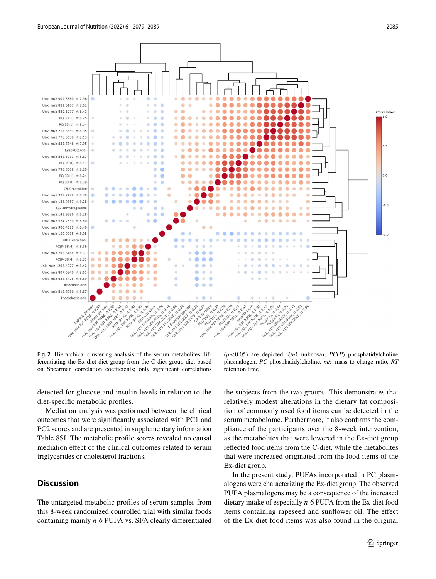![](_page_6_Figure_1.jpeg)

<span id="page-6-0"></span>**Fig. 2** Hierarchical clustering analysis of the serum metabolites differentiating the Ex-diet diet group from the C-diet group diet based on Spearman correlation coefficients; only significant correlations

detected for glucose and insulin levels in relation to the diet-specifc metabolic profles.

Mediation analysis was performed between the clinical outcomes that were signifcantly associated with PC1 and PC2 scores and are presented in supplementary information Table 8SI. The metabolic profle scores revealed no causal mediation efect of the clinical outcomes related to serum triglycerides or cholesterol fractions.

# **Discussion**

The untargeted metabolic profles of serum samples from this 8-week randomized controlled trial with similar foods containing mainly *n-6* PUFA vs. SFA clearly diferentiated

(*p*<0.05) are depicted. *Unk* unknown, *PC*(*P*) phosphatidylcholine plasmalogen, *PC* phosphatidylcholine, *m*/*z* mass to charge ratio, *RT* retention time

the subjects from the two groups. This demonstrates that relatively modest alterations in the dietary fat composition of commonly used food items can be detected in the serum metabolome. Furthermore, it also confrms the compliance of the participants over the 8-week intervention, as the metabolites that were lowered in the Ex-diet group refected food items from the C-diet, while the metabolites that were increased originated from the food items of the Ex-diet group.

In the present study, PUFAs incorporated in PC plasmalogens were characterizing the Ex-diet group. The observed PUFA plasmalogens may be a consequence of the increased dietary intake of especially *n*-6 PUFA from the Ex-diet food items containing rapeseed and sunfower oil. The efect of the Ex-diet food items was also found in the original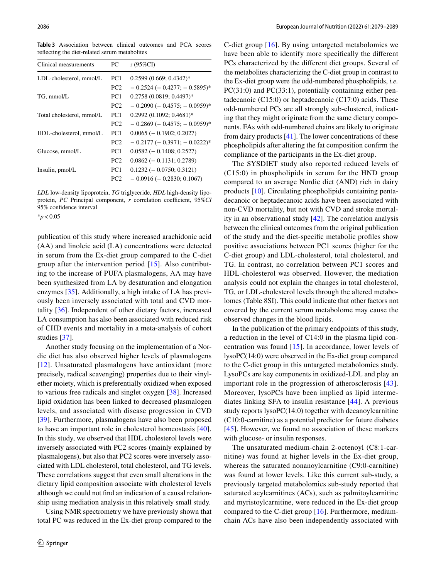Clinical measurements PC r (95%CI) LDL-cholesterol, mmol/L PC1 0.2599 (0.669; 0.4342)\* PC2  $-0.2524 (-0.4277; -0.5895)^*$ TG, mmol/L PC1 0.2758 (0.0819; 0.4497)\*  $PC2 - 0.2090 (-0.4575; -0.0959)^*$ Total cholesterol, mmol/L PC1 0.2992 (0.1092; 0.4681)\* PC2  $-0.2869 (-0.4575; -0.0959)^*$ HDL-cholesterol, mmol/L PC1 0.0065 (− 0.1902; 0.2027) PC2  $-0.2177 (-0.3971; -0.0222)^*$ Glucose, mmol/L PC1 0.0582 (− 0.1408; 0.2527) PC2 0.0862 (− 0.1131; 0.2789) Insulin, pmol/L PC1 0.1232 (− 0.0750; 0.3121) PC2 − 0.0916 (− 0.2830; 0.1067)

<span id="page-7-0"></span>**Table 3** Association between clinical outcomes and PCA scores refecting the diet-related serum metabolites

*LDL* low-density lipoprotein, *TG* triglyceride, *HDL* high-density lipoprotein, *PC* Principal component, *r* correlation coefficient, 95%*CI* 95% confdence interval

\**p*<0.05

publication of this study where increased arachidonic acid (AA) and linoleic acid (LA) concentrations were detected in serum from the Ex-diet group compared to the C-diet group after the intervention period [[15](#page-9-9)]. Also contributing to the increase of PUFA plasmalogens, AA may have been synthesized from LA by desaturation and elongation enzymes [\[35\]](#page-10-6). Additionally, a high intake of LA has previously been inversely associated with total and CVD mortality [[36\]](#page-10-7). Independent of other dietary factors, increased LA consumption has also been associated with reduced risk of CHD events and mortality in a meta-analysis of cohort studies [[37\]](#page-10-8).

Another study focusing on the implementation of a Nordic diet has also observed higher levels of plasmalogens [[12](#page-9-22)]. Unsaturated plasmalogens have antioxidant (more precisely, radical scavenging) properties due to their vinylether moiety, which is preferentially oxidized when exposed to various free radicals and singlet oxygen [\[38](#page-10-9)]. Increased lipid oxidation has been linked to decreased plasmalogen levels, and associated with disease progression in CVD [\[39\]](#page-10-10). Furthermore, plasmalogens have also been proposed to have an important role in cholesterol homeostasis [[40](#page-10-11)]. In this study, we observed that HDL cholesterol levels were inversely associated with PC2 scores (mainly explained by plasmalogens), but also that PC2 scores were inversely associated with LDL cholesterol, total cholesterol, and TG levels. These correlations suggest that even small alterations in the dietary lipid composition associate with cholesterol levels although we could not fnd an indication of a causal relationship using mediation analysis in this relatively small study.

Using NMR spectrometry we have previously shown that total PC was reduced in the Ex-diet group compared to the C-diet group [[16\]](#page-9-10). By using untargeted metabolomics we have been able to identify more specifcally the diferent PCs characterized by the diferent diet groups. Several of the metabolites characterizing the C-diet group in contrast to the Ex-diet group were the odd-numbered phospholipids, *i.e.*  $PC(31:0)$  and  $PC(33:1)$ , potentially containing either pentadecanoic  $(C15:0)$  or heptadecanoic  $(C17:0)$  acids. These odd-numbered PCs are all strongly sub-clustered, indicating that they might originate from the same dietary components. FAs with odd-numbered chains are likely to originate from dairy products [\[41](#page-10-12)]. The lower concentrations of these phospholipids after altering the fat composition confrm the compliance of the participants in the Ex-diet group.

The SYSDIET study also reported reduced levels of (C15:0) in phospholipids in serum for the HND group compared to an average Nordic diet (AND) rich in dairy products [[10](#page-9-7)]. Circulating phospholipids containing pentadecanoic or heptadecanoic acids have been associated with non-CVD mortality, but not with CVD and stroke mortality in an observational study [[42\]](#page-10-13). The correlation analysis between the clinical outcomes from the original publication of the study and the diet-specifc metabolic profles show positive associations between PC1 scores (higher for the C-diet group) and LDL-cholesterol, total cholesterol, and TG. In contrast, no correlation between PC1 scores and HDL-cholesterol was observed. However, the mediation analysis could not explain the changes in total cholesterol, TG, or LDL-cholesterol levels through the altered metabolomes (Table 8SI). This could indicate that other factors not covered by the current serum metabolome may cause the observed changes in the blood lipids.

In the publication of the primary endpoints of this study, a reduction in the level of C14:0 in the plasma lipid concentration was found [[15\]](#page-9-9). In accordance, lower levels of lysoPC(14:0) were observed in the Ex-diet group compared to the C-diet group in this untargeted metabolomics study. LysoPCs are key components in oxidized-LDL and play an important role in the progression of atherosclerosis [[43](#page-10-14)]. Moreover, lysoPCs have been implied as lipid intermediates linking SFA to insulin resistance [[44\]](#page-10-15). A previous study reports lysoPC(14:0) together with decanoylcarnitine (C10:0-carnitine) as a potential predictor for future diabetes [[45\]](#page-10-16). However, we found no association of these markers with glucose- or insulin responses.

The unsaturated medium-chain 2-octenoyl (C8:1-carnitine) was found at higher levels in the Ex-diet group, whereas the saturated nonanoylcarnitine (C9:0-carnitine) was found at lower levels. Like this current sub-study, a previously targeted metabolomics sub-study reported that saturated acylcarnitines (ACs), such as palmitoylcarnitine and myristoylcarnitine, were reduced in the Ex-diet group compared to the C-diet group [[16\]](#page-9-10). Furthermore, mediumchain ACs have also been independently associated with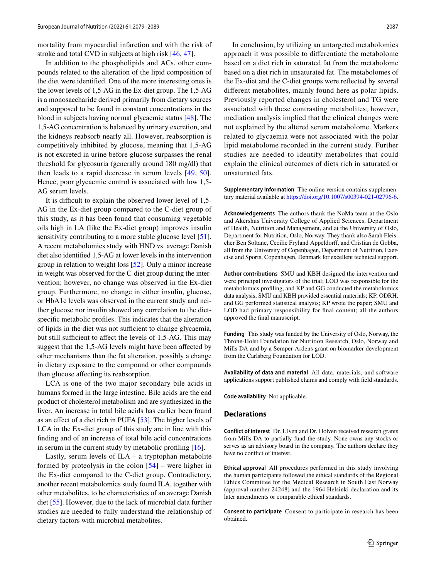mortality from myocardial infarction and with the risk of stroke and total CVD in subjects at high risk [[46,](#page-10-17) [47\]](#page-10-18).

In addition to the phospholipids and ACs, other compounds related to the alteration of the lipid composition of the diet were identifed. One of the more interesting ones is the lower levels of 1,5-AG in the Ex-diet group. The 1,5-AG is a monosaccharide derived primarily from dietary sources and supposed to be found in constant concentrations in the blood in subjects having normal glycaemic status [[48](#page-10-19)]. The 1,5-AG concentration is balanced by urinary excretion, and the kidneys reabsorb nearly all. However, reabsorption is competitively inhibited by glucose, meaning that 1,5-AG is not excreted in urine before glucose surpasses the renal threshold for glycosuria (generally around 180 mg/dl) that then leads to a rapid decrease in serum levels [[49](#page-10-20), [50](#page-10-21)]. Hence, poor glycaemic control is associated with low 1,5- AG serum levels.

It is difficult to explain the observed lower level of 1,5-AG in the Ex-diet group compared to the C-diet group of this study, as it has been found that consuming vegetable oils high in LA (like the Ex-diet group) improves insulin sensitivity contributing to a more stable glucose level [\[51](#page-10-22)]. A recent metabolomics study with HND vs. average Danish diet also identifed 1,5-AG at lower levels in the intervention group in relation to weight loss [[52](#page-10-23)]. Only a minor increase in weight was observed for the C-diet group during the intervention; however, no change was observed in the Ex-diet group. Furthermore, no change in either insulin, glucose, or HbA1c levels was observed in the current study and neither glucose nor insulin showed any correlation to the dietspecifc metabolic profles. This indicates that the alteration of lipids in the diet was not sufficient to change glycaemia, but still sufficient to affect the levels of 1,5-AG. This may suggest that the 1,5-AG levels might have been afected by other mechanisms than the fat alteration, possibly a change in dietary exposure to the compound or other compounds than glucose afecting its reabsorption.

LCA is one of the two major secondary bile acids in humans formed in the large intestine. Bile acids are the end product of cholesterol metabolism and are synthesized in the liver. An increase in total bile acids has earlier been found as an efect of a diet rich in PUFA [\[53\]](#page-10-24). The higher levels of LCA in the Ex-diet group of this study are in line with this fnding and of an increase of total bile acid concentrations in serum in the current study by metabolic profling [[16\]](#page-9-10).

Lastly, serum levels of  $ILA - a$  tryptophan metabolite formed by proteolysis in the colon  $[54]$  $[54]$  $[54]$  – were higher in the Ex-diet compared to the C-diet group. Contradictory, another recent metabolomics study found ILA, together with other metabolites, to be characteristics of an average Danish diet [[55\]](#page-10-26). However, due to the lack of microbial data further studies are needed to fully understand the relationship of dietary factors with microbial metabolites.

In conclusion, by utilizing an untargeted metabolomics approach it was possible to diferentiate the metabolome based on a diet rich in saturated fat from the metabolome based on a diet rich in unsaturated fat. The metabolomes of the Ex-diet and the C-diet groups were refected by several diferent metabolites, mainly found here as polar lipids. Previously reported changes in cholesterol and TG were associated with these contrasting metabolites; however, mediation analysis implied that the clinical changes were not explained by the altered serum metabolome. Markers related to glycaemia were not associated with the polar lipid metabolome recorded in the current study. Further studies are needed to identify metabolites that could explain the clinical outcomes of diets rich in saturated or unsaturated fats.

**Supplementary Information** The online version contains supplementary material available at<https://doi.org/10.1007/s00394-021-02796-6>.

**Acknowledgements** The authors thank the NoMa team at the Oslo and Akershus University College of Applied Sciences, Department of Health, Nutrition and Management, and at the University of Oslo, Department for Nutrition, Oslo, Norway. They thank also Sarah Fleischer Ben Soltane, Cecilie Fryland Appeldorff, and Cristian de Gobba, all from the University of Copenhagen, Department of Nutrition, Exercise and Sports, Copenhagen, Denmark for excellent technical support.

**Author contributions** SMU and KBH designed the intervention and were principal investigators of the trial; LOD was responsible for the metabolomics profling, and KP and GG conducted the metabolomics data analysis; SMU and KBH provided essential materials; KP, ODRH, and GG performed statistical analysis; KP wrote the paper; SMU and LOD had primary responsibility for fnal content; all the authors approved the fnal manuscript.

**Funding** This study was funded by the University of Oslo, Norway, the Throne-Holst Foundation for Nutrition Research, Oslo, Norway and Mills DA and by a Semper Ardens grant on biomarker development from the Carlsberg Foundation for LOD.

**Availability of data and material** All data, materials, and software applications support published claims and comply with feld standards.

**Code availability** Not applicable.

### **Declarations**

**Conflict of interest** Dr. Ulven and Dr. Holven received research grants from Mills DA to partially fund the study. None owns any stocks or serves as an advisory board in the company. The authors declare they have no confict of interest.

**Ethical approval** All procedures performed in this study involving the human participants followed the ethical standards of the Regional Ethics Committee for the Medical Research in South East Norway (approval number 24248) and the 1964 Helsinki declaration and its later amendments or comparable ethical standards.

**Consent to participate** Consent to participate in research has been obtained.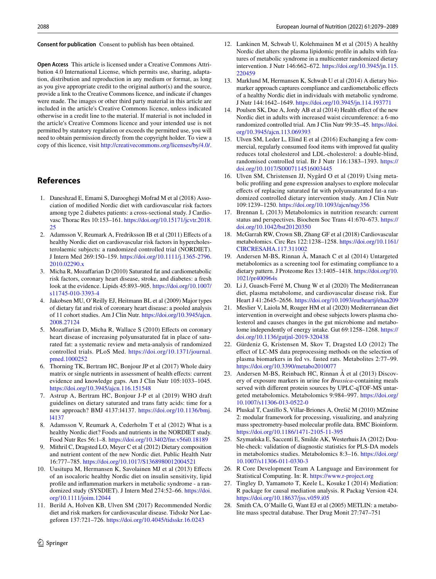**Consent for publication** Consent to publish has been obtained.

**Open Access** This article is licensed under a Creative Commons Attribution 4.0 International License, which permits use, sharing, adaptation, distribution and reproduction in any medium or format, as long as you give appropriate credit to the original author(s) and the source, provide a link to the Creative Commons licence, and indicate if changes were made. The images or other third party material in this article are included in the article's Creative Commons licence, unless indicated otherwise in a credit line to the material. If material is not included in the article's Creative Commons licence and your intended use is not permitted by statutory regulation or exceeds the permitted use, you will need to obtain permission directly from the copyright holder. To view a copy of this licence, visit <http://creativecommons.org/licenses/by/4.0/>.

## **References**

- <span id="page-9-0"></span>1. Daneshzad E, Emami S, Darooghegi Mofrad M et al (2018) Association of modifed Nordic diet with cardiovascular risk factors among type 2 diabetes patients: a cross-sectional study. J Cardiovasc Thorac Res 10:153–161. [https://doi.org/10.15171/jcvtr.2018.](https://doi.org/10.15171/jcvtr.2018.25) [25](https://doi.org/10.15171/jcvtr.2018.25)
- <span id="page-9-1"></span>2. Adamsson V, Reumark A, Fredriksson IB et al (2011) Efects of a healthy Nordic diet on cardiovascular risk factors in hypercholesterolaemic subjects: a randomized controlled trial (NORDIET). J Intern Med 269:150–159. [https://doi.org/10.1111/j.1365-2796.](https://doi.org/10.1111/j.1365-2796.2010.02290.x) [2010.02290.x](https://doi.org/10.1111/j.1365-2796.2010.02290.x)
- <span id="page-9-2"></span>3. Micha R, Mozafarian D (2010) Saturated fat and cardiometabolic risk factors, coronary heart disease, stroke, and diabetes: a fresh look at the evidence. Lipids 45:893–905. [https://doi.org/10.1007/](https://doi.org/10.1007/s11745-010-3393-4) [s11745-010-3393-4](https://doi.org/10.1007/s11745-010-3393-4)
- 4. Jakobsen MU, O'Reilly EJ, Heitmann BL et al (2009) Major types of dietary fat and risk of coronary heart disease: a pooled analysis of 11 cohort studies. Am J Clin Nutr. [https://doi.org/10.3945/ajcn.](https://doi.org/10.3945/ajcn.2008.27124) [2008.27124](https://doi.org/10.3945/ajcn.2008.27124)
- <span id="page-9-3"></span>5. Mozafarian D, Micha R, Wallace S (2010) Efects on coronary heart disease of increasing polyunsaturated fat in place of saturated fat: a systematic review and meta-analysis of randomized controlled trials. PLoS Med. [https://doi.org/10.1371/journal.](https://doi.org/10.1371/journal.pmed.1000252) [pmed.1000252](https://doi.org/10.1371/journal.pmed.1000252)
- <span id="page-9-4"></span>6. Thorning TK, Bertram HC, Bonjour JP et al (2017) Whole dairy matrix or single nutrients in assessment of health effects: current evidence and knowledge gaps. Am J Clin Nutr 105:1033–1045. <https://doi.org/10.3945/ajcn.116.151548>
- <span id="page-9-5"></span>7. Astrup A, Bertram HC, Bonjour J-P et al (2019) WHO draft guidelines on dietary saturated and trans fatty acids: time for a new approach? BMJ 4137:l4137. [https://doi.org/10.1136/bmj.](https://doi.org/10.1136/bmj.l4137) [l4137](https://doi.org/10.1136/bmj.l4137)
- <span id="page-9-6"></span>8. Adamsson V, Reumark A, Cederholm T et al (2012) What is a healthy Nordic diet? Foods and nutrients in the NORDIET study. Food Nutr Res 56:1–8.<https://doi.org/10.3402/fnr.v56i0.18189>
- 9. Mithril C, Dragsted LO, Meyer C et al (2012) Dietary composition and nutrient content of the new Nordic diet. Public Health Nutr 16:777–785.<https://doi.org/10.1017/S1368980012004521>
- <span id="page-9-7"></span>10. Uusitupa M, Hermansen K, Savolainen MJ et al (2013) Efects of an isocaloric healthy Nordic diet on insulin sensitivity, lipid profle and infammation markers in metabolic syndrome - a randomized study (SYSDIET). J Intern Med 274:52–66. [https://doi.](https://doi.org/10.1111/joim.12044) [org/10.1111/joim.12044](https://doi.org/10.1111/joim.12044)
- 11. Berild A, Holven KB, Ulven SM (2017) Recommended Nordic diet and risk markers for cardiovascular disease. Tidsskr Nor Laegeforen 137:721–726.<https://doi.org/10.4045/tidsskr.16.0243>
- <span id="page-9-22"></span>12. Lankinen M, Schwab U, Kolehmainen M et al (2015) A healthy Nordic diet alters the plasma lipidomic profle in adults with features of metabolic syndrome in a multicenter randomized dietary intervention. J Nutr 146:662–672. [https://doi.org/10.3945/jn.115.](https://doi.org/10.3945/jn.115.220459) [220459](https://doi.org/10.3945/jn.115.220459)
- 13. Marklund M, Hermansen K, Schwab U et al (2014) A dietary biomarker approach captures compliance and cardiometabolic efects of a healthy Nordic diet in individuals with metabolic syndrome. J Nutr 144:1642–1649.<https://doi.org/10.3945/jn.114.193771>
- <span id="page-9-8"></span>14. Poulsen SK, Due A, Jordy AB et al (2014) Health effect of the new Nordic diet in adults with increased waist circumference: a 6-mo randomized controlled trial. Am J Clin Nutr 99:35–45. [https://doi.](https://doi.org/10.3945/ajcn.113.069393) [org/10.3945/ajcn.113.069393](https://doi.org/10.3945/ajcn.113.069393)
- <span id="page-9-9"></span>15. Ulven SM, Leder L, Elind E et al (2016) Exchanging a few commercial, regularly consumed food items with improved fat quality reduces total cholesterol and LDL-cholesterol: a double-blind, randomised controlled trial. Br J Nutr 116:1383–1393. [https://](https://doi.org/10.1017/S0007114516003445) [doi.org/10.1017/S0007114516003445](https://doi.org/10.1017/S0007114516003445)
- <span id="page-9-10"></span>16. Ulven SM, Christensen JJ, Nygård O et al (2019) Using metabolic profling and gene expression analyses to explore molecular efects of replacing saturated fat with polyunsaturated fat-a randomized controlled dietary intervention study. Am J Clin Nutr 109:1239–1250.<https://doi.org/10.1093/ajcn/nqy356>
- <span id="page-9-11"></span>17. Brennan L (2013) Metabolomics in nutrition research: current status and perspectives. Biochem Soc Trans 41:670–673. [https://](https://doi.org/10.1042/bst20120350) [doi.org/10.1042/bst20120350](https://doi.org/10.1042/bst20120350)
- <span id="page-9-12"></span>18. McGarrah RW, Crown SB, Zhang GF et al (2018) Cardiovascular metabolomics. Circ Res 122:1238–1258. [https://doi.org/10.1161/](https://doi.org/10.1161/CIRCRESAHA.117.311002) [CIRCRESAHA.117.311002](https://doi.org/10.1161/CIRCRESAHA.117.311002)
- <span id="page-9-13"></span>19. Andersen M-BS, Rinnan Å, Manach C et al (2014) Untargeted metabolomics as a screening tool for estimating compliance to a dietary pattern. J Proteome Res 13:1405–1418. [https://doi.org/10.](https://doi.org/10.1021/pr400964s) [1021/pr400964s](https://doi.org/10.1021/pr400964s)
- 20. Li J, Guasch-Ferré M, Chung W et al (2020) The Mediterranean diet, plasma metabolome, and cardiovascular disease risk. Eur Heart J 41:2645–2656. <https://doi.org/10.1093/eurheartj/ehaa209>
- <span id="page-9-14"></span>21. Meslier V, Laiola M, Roager HM et al (2020) Mediterranean diet intervention in overweight and obese subjects lowers plasma cholesterol and causes changes in the gut microbiome and metabolome independently of energy intake. Gut 69:1258–1268. [https://](https://doi.org/10.1136/gutjnl-2019-320438) [doi.org/10.1136/gutjnl-2019-320438](https://doi.org/10.1136/gutjnl-2019-320438)
- <span id="page-9-15"></span>22. Gürdeniz G, Kristensen M, Skov T, Dragsted LO (2012) The efect of LC-MS data preprocessing methods on the selection of plasma biomarkers in fed vs. fasted rats. Metabolites 2:77–99. <https://doi.org/10.3390/metabo2010077>
- <span id="page-9-16"></span>23. Andersen M-BS, Reinbach HC, Rinnan Å et al (2013) Discovery of exposure markers in urine for *Brassica*-containing meals served with diferent protein sources by UPLC-qTOF-MS untargeted metabolomics. Metabolomics 9:984–997. [https://doi.org/](https://doi.org/10.1007/s11306-013-0522-0) [10.1007/s11306-013-0522-0](https://doi.org/10.1007/s11306-013-0522-0)
- <span id="page-9-17"></span>24. Pluskal T, Castillo S, Villar-Briones A, Orešič M (2010) MZmine 2: modular framework for processing, visualizing, and analyzing mass spectrometry-based molecular profle data. BMC Bioinform. <https://doi.org/10.1186/1471-2105-11-395>
- <span id="page-9-18"></span>25. Szymańska E, Saccenti E, Smilde AK, Westerhuis JA (2012) Double-check: validation of diagnostic statistics for PLS-DA models in metabolomics studies. Metabolomics 8:3–16. [https://doi.org/](https://doi.org/10.1007/s11306-011-0330-3) [10.1007/s11306-011-0330-3](https://doi.org/10.1007/s11306-011-0330-3)
- <span id="page-9-19"></span>26. R Core Development Team A Language and Environment for Statistical Computing. In: R. <https://www.r-project.org>
- <span id="page-9-20"></span>27. Tingley D, Yamamoto T, Keele L, Kosuke I (2014) Mediation: R package for causal mediation analysis. R Packag Version 424. <https://doi.org/10.18637/jss.v059.i05>
- <span id="page-9-21"></span>28. Smith CA, O'Maille G, Want EJ et al (2005) METLIN: a metabolite mass spectral database. Ther Drug Monit 27:747–751